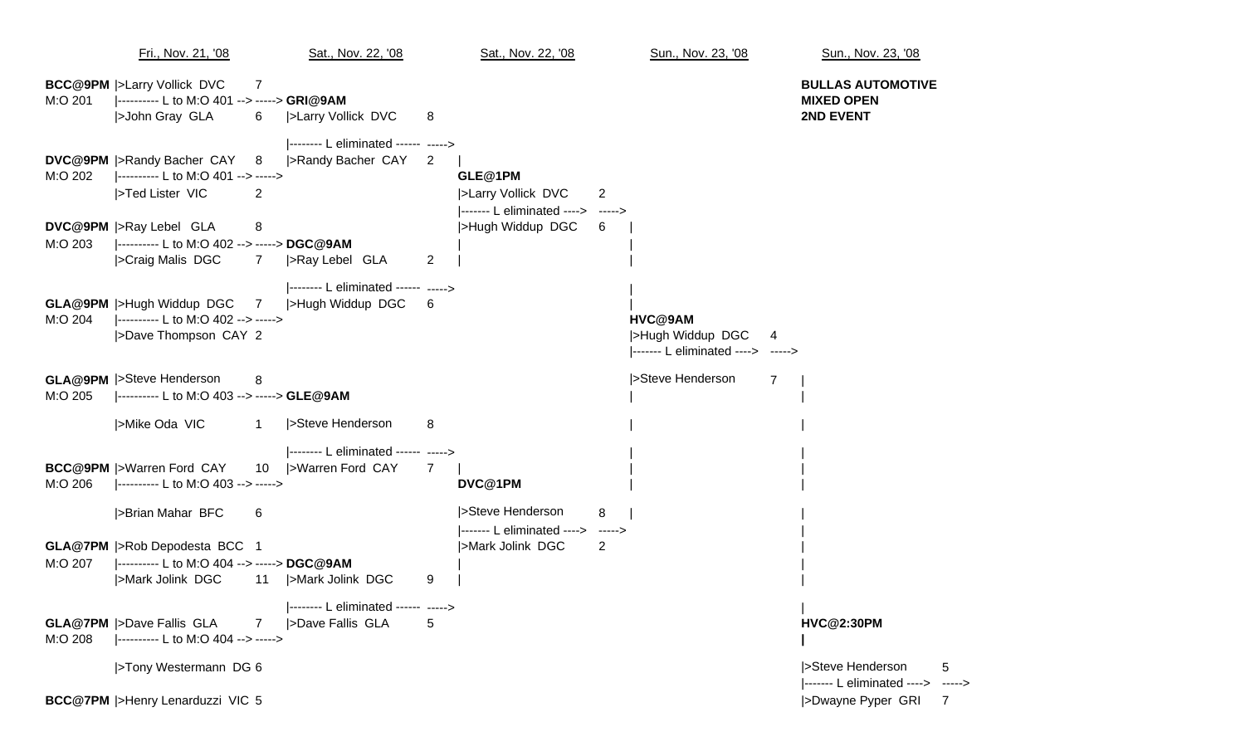Fri., Nov. 21, '08 Sat., Nov. 22, '08 Sat., Nov. 22, '08 Sun., Nov. 23, '08 Sun., Nov. 23, '08 **BCC@9PM** |>Larry Vollick DVC 7 **BULLAS AUTOMOTIVE** M:O 201 |---------- L to M:O 401 --> -----> **GRI@9AM MIXED OPEN** |>John Gray GLA 6 |>Larry Vollick DVC 8 **2ND EVENT** |-------- L eliminated ------ -----> **DVC@9PM** |>Randy Bacher CAY 8 |>Randy Bacher CAY 2 M:O 202 |---------- L to M:O 401 --> -----> **GLE@1PM** |>Ted Lister VIC 2 2 ||2Degree 2 ||2Degree 2 ||2Degree 2 ||2Degree 2 ||2Degree 2 ||2Degree 2 ||2Degree 2 ||2Degree 2 ||2Degree 2 ||2Degree 2 ||2Degree 2 ||2Degree 2 ||2Degree 2 ||2Degree 2 ||2Degree 2 ||2Degree 2 ||2Degree |------- L eliminated ----> -----> **DVC@9PM** |>Ray Lebel GLA 8 |>Hugh Widdup DGC 6 M:O 203 |---------- L to M:O 402 --> -----> **DGC@9AM** | | |>Craig Malis DGC 7 |>Ray Lebel GLA 2 |-------- L eliminated ------ -----> **GLA@9PM** |>Hugh Widdup DGC 7 |>Hugh Widdup DGC 6 | M:O 204 |---------- L to M:O 402 --> -----> **HVC@9AM** |>Dave Thompson CAY 2 |> http://www.facebook.com/distance/setted/information/information/information/information/information/information/information/information/information/information/information/information/information/i |------- L eliminated ----> -----> **GLA@9PM** |>Steve Henderson 8 |>Steve Henderson 7 | M:O 205 |---------- L to M:O 403 --> -----> **GLE@9AM** | | |>Mike Oda VIC 1 |>Steve Henderson 8 |-------- L eliminated ------ -----> **BCC@9PM** |>Warren Ford CAY 10 |>Warren Ford CAY 7 M:O 206 |---------- L to M:O 403 --> -----> **DVC@1PM** | | |>Brian Mahar BFC 6 |>Steve Henderson 8 | | |------- L eliminated ----> -----> | **GLA@7PM** |>Rob Depodesta BCC 1 |>Mark Jolink DGC 2 | M:O 207 |---------- L to M:O 404 --> -----> **DGC@9AM** | | |>Mark Jolink DGC 11 |>Mark Jolink DGC 9 |-------- L eliminated ------ -----> | **GLA@7PM** |>Dave Fallis GLA |>Dave Fallis GLA 7 |>Dave Fallis GLA 5 **HVC@2:30PM** M:O 208 |---------- L to M:O 404 --> -----> **|** |>Tony Westermann DG <sup>6</sup> |>Steve Henderson 5 **BCC@7PM** |>Henry Lenarduzzi VIC 5 |>Dwayne Pyper GRI 7

|------- L eliminated ----> ----->